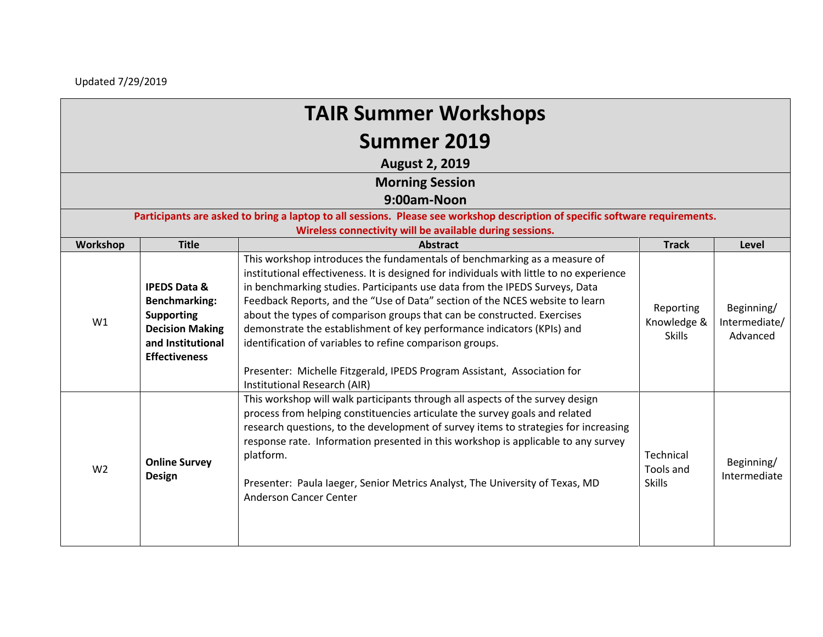Updated 7/29/2019

| <b>TAIR Summer Workshops</b> |
|------------------------------|
| Summer 2019                  |

**August 2, 2019**

| <b>Morning Session</b> |  |
|------------------------|--|
|------------------------|--|

**9:00am-Noon**

**Participants are asked to bring a laptop to all sessions. Please see workshop description of specific software requirements. Wireless connectivity will be available during sessions.** 

| Workshop       | <b>Title</b>                                                                                                                                | <b>Abstract</b>                                                                                                                                                                                                                                                                                                                                                                                                                                                                                                                                                                                                                                                   | <b>Track</b>                              | Level                                   |
|----------------|---------------------------------------------------------------------------------------------------------------------------------------------|-------------------------------------------------------------------------------------------------------------------------------------------------------------------------------------------------------------------------------------------------------------------------------------------------------------------------------------------------------------------------------------------------------------------------------------------------------------------------------------------------------------------------------------------------------------------------------------------------------------------------------------------------------------------|-------------------------------------------|-----------------------------------------|
| W1             | <b>IPEDS Data &amp;</b><br><b>Benchmarking:</b><br><b>Supporting</b><br><b>Decision Making</b><br>and Institutional<br><b>Effectiveness</b> | This workshop introduces the fundamentals of benchmarking as a measure of<br>institutional effectiveness. It is designed for individuals with little to no experience<br>in benchmarking studies. Participants use data from the IPEDS Surveys, Data<br>Feedback Reports, and the "Use of Data" section of the NCES website to learn<br>about the types of comparison groups that can be constructed. Exercises<br>demonstrate the establishment of key performance indicators (KPIs) and<br>identification of variables to refine comparison groups.<br>Presenter: Michelle Fitzgerald, IPEDS Program Assistant, Association for<br>Institutional Research (AIR) | Reporting<br>Knowledge &<br><b>Skills</b> | Beginning/<br>Intermediate/<br>Advanced |
| W <sub>2</sub> | <b>Online Survey</b><br><b>Design</b>                                                                                                       | This workshop will walk participants through all aspects of the survey design<br>process from helping constituencies articulate the survey goals and related<br>research questions, to the development of survey items to strategies for increasing<br>response rate. Information presented in this workshop is applicable to any survey<br>platform.<br>Presenter: Paula laeger, Senior Metrics Analyst, The University of Texas, MD<br>Anderson Cancer Center                                                                                                                                                                                                   | Technical<br>Tools and<br><b>Skills</b>   | Beginning/<br>Intermediate              |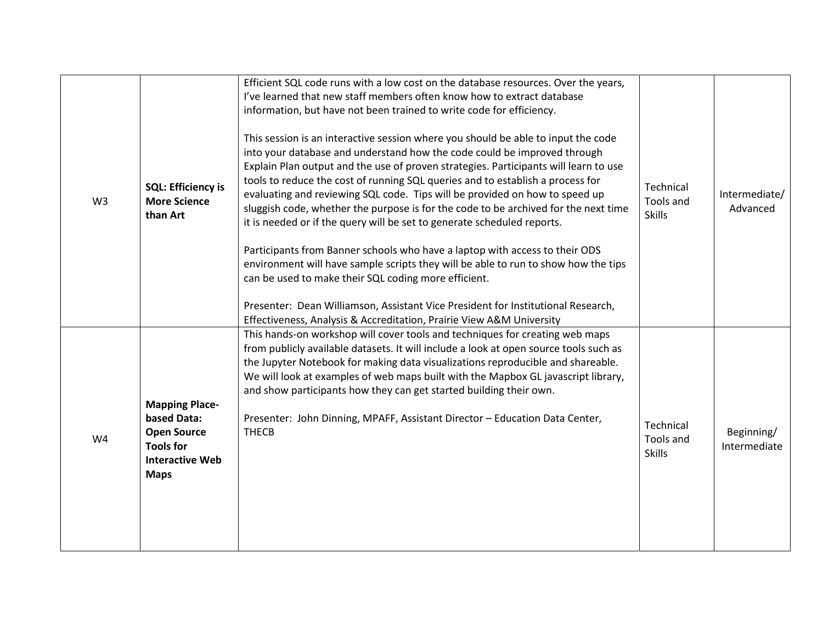| W <sub>3</sub> | <b>SQL: Efficiency is</b><br><b>More Science</b><br>than Art                                                            | Efficient SQL code runs with a low cost on the database resources. Over the years,<br>I've learned that new staff members often know how to extract database<br>information, but have not been trained to write code for efficiency.<br>This session is an interactive session where you should be able to input the code<br>into your database and understand how the code could be improved through<br>Explain Plan output and the use of proven strategies. Participants will learn to use<br>tools to reduce the cost of running SQL queries and to establish a process for<br>evaluating and reviewing SQL code. Tips will be provided on how to speed up<br>sluggish code, whether the purpose is for the code to be archived for the next time<br>it is needed or if the query will be set to generate scheduled reports.<br>Participants from Banner schools who have a laptop with access to their ODS<br>environment will have sample scripts they will be able to run to show how the tips<br>can be used to make their SQL coding more efficient.<br>Presenter: Dean Williamson, Assistant Vice President for Institutional Research,<br>Effectiveness, Analysis & Accreditation, Prairie View A&M University | Technical<br>Tools and<br><b>Skills</b> | Intermediate/<br>Advanced  |
|----------------|-------------------------------------------------------------------------------------------------------------------------|---------------------------------------------------------------------------------------------------------------------------------------------------------------------------------------------------------------------------------------------------------------------------------------------------------------------------------------------------------------------------------------------------------------------------------------------------------------------------------------------------------------------------------------------------------------------------------------------------------------------------------------------------------------------------------------------------------------------------------------------------------------------------------------------------------------------------------------------------------------------------------------------------------------------------------------------------------------------------------------------------------------------------------------------------------------------------------------------------------------------------------------------------------------------------------------------------------------------------|-----------------------------------------|----------------------------|
| W4             | <b>Mapping Place-</b><br>based Data:<br><b>Open Source</b><br><b>Tools for</b><br><b>Interactive Web</b><br><b>Maps</b> | This hands-on workshop will cover tools and techniques for creating web maps<br>from publicly available datasets. It will include a look at open source tools such as<br>the Jupyter Notebook for making data visualizations reproducible and shareable.<br>We will look at examples of web maps built with the Mapbox GL javascript library,<br>and show participants how they can get started building their own.<br>Presenter: John Dinning, MPAFF, Assistant Director - Education Data Center,<br><b>THECB</b>                                                                                                                                                                                                                                                                                                                                                                                                                                                                                                                                                                                                                                                                                                        | Technical<br>Tools and<br><b>Skills</b> | Beginning/<br>Intermediate |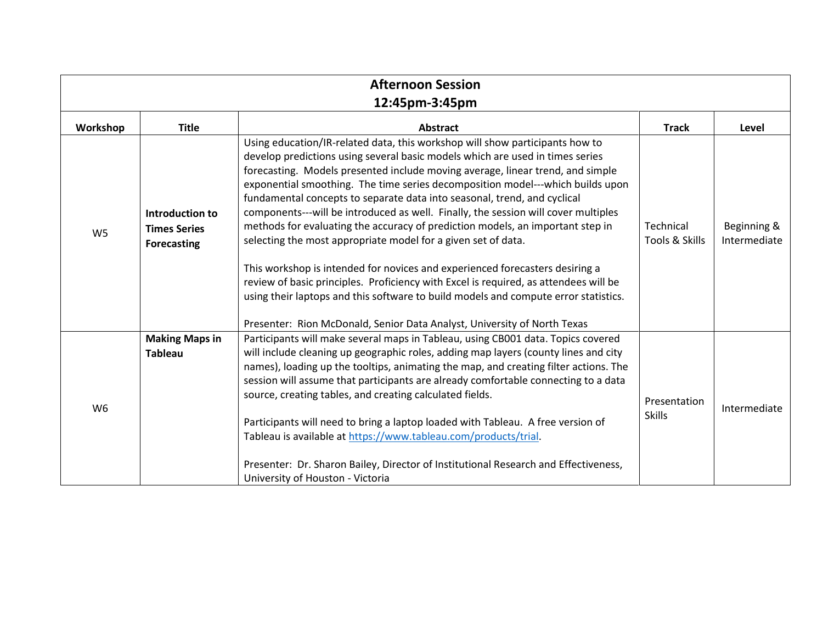|                |                                                              | <b>Afternoon Session</b>                                                                                                                                                                                                                                                                                                                                                                                                                                                                                                                                                                                                                                                                                                                                                                                                                                                                                                                                                                                                         |                               |                             |  |
|----------------|--------------------------------------------------------------|----------------------------------------------------------------------------------------------------------------------------------------------------------------------------------------------------------------------------------------------------------------------------------------------------------------------------------------------------------------------------------------------------------------------------------------------------------------------------------------------------------------------------------------------------------------------------------------------------------------------------------------------------------------------------------------------------------------------------------------------------------------------------------------------------------------------------------------------------------------------------------------------------------------------------------------------------------------------------------------------------------------------------------|-------------------------------|-----------------------------|--|
| 12:45pm-3:45pm |                                                              |                                                                                                                                                                                                                                                                                                                                                                                                                                                                                                                                                                                                                                                                                                                                                                                                                                                                                                                                                                                                                                  |                               |                             |  |
| Workshop       | <b>Title</b>                                                 | <b>Abstract</b>                                                                                                                                                                                                                                                                                                                                                                                                                                                                                                                                                                                                                                                                                                                                                                                                                                                                                                                                                                                                                  | <b>Track</b>                  | Level                       |  |
| W <sub>5</sub> | Introduction to<br><b>Times Series</b><br><b>Forecasting</b> | Using education/IR-related data, this workshop will show participants how to<br>develop predictions using several basic models which are used in times series<br>forecasting. Models presented include moving average, linear trend, and simple<br>exponential smoothing. The time series decomposition model---which builds upon<br>fundamental concepts to separate data into seasonal, trend, and cyclical<br>components---will be introduced as well. Finally, the session will cover multiples<br>methods for evaluating the accuracy of prediction models, an important step in<br>Technical<br>Tools & Skills<br>selecting the most appropriate model for a given set of data.<br>This workshop is intended for novices and experienced forecasters desiring a<br>review of basic principles. Proficiency with Excel is required, as attendees will be<br>using their laptops and this software to build models and compute error statistics.<br>Presenter: Rion McDonald, Senior Data Analyst, University of North Texas |                               | Beginning &<br>Intermediate |  |
| W <sub>6</sub> | <b>Making Maps in</b><br><b>Tableau</b>                      | Participants will make several maps in Tableau, using CB001 data. Topics covered<br>will include cleaning up geographic roles, adding map layers (county lines and city<br>names), loading up the tooltips, animating the map, and creating filter actions. The<br>session will assume that participants are already comfortable connecting to a data<br>source, creating tables, and creating calculated fields.<br>Participants will need to bring a laptop loaded with Tableau. A free version of<br>Tableau is available at https://www.tableau.com/products/trial.<br>Presenter: Dr. Sharon Bailey, Director of Institutional Research and Effectiveness,<br>University of Houston - Victoria                                                                                                                                                                                                                                                                                                                               | Presentation<br><b>Skills</b> | Intermediate                |  |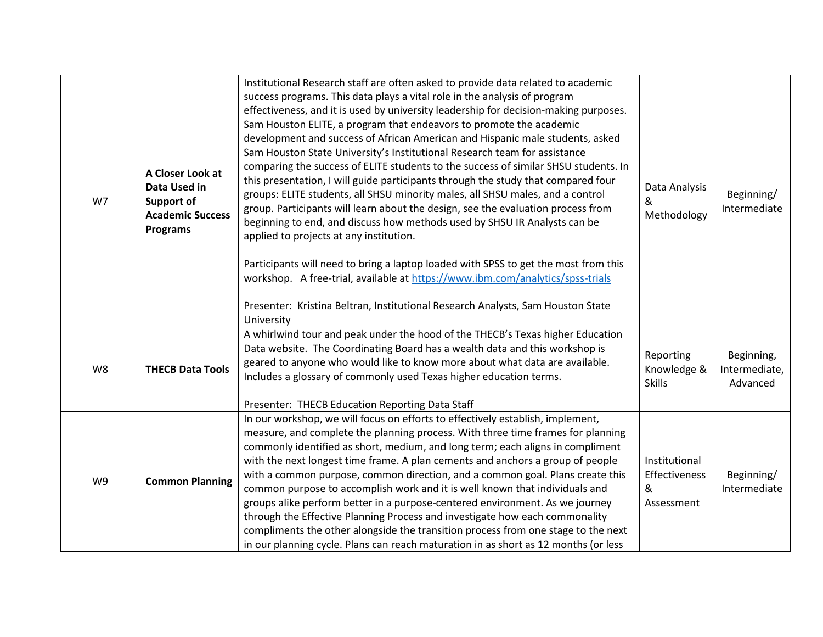| W7 | A Closer Look at<br>Data Used in<br><b>Support of</b><br><b>Academic Success</b><br><b>Programs</b> | Institutional Research staff are often asked to provide data related to academic<br>success programs. This data plays a vital role in the analysis of program<br>effectiveness, and it is used by university leadership for decision-making purposes.<br>Sam Houston ELITE, a program that endeavors to promote the academic<br>development and success of African American and Hispanic male students, asked<br>Sam Houston State University's Institutional Research team for assistance<br>comparing the success of ELITE students to the success of similar SHSU students. In<br>this presentation, I will guide participants through the study that compared four<br>groups: ELITE students, all SHSU minority males, all SHSU males, and a control<br>group. Participants will learn about the design, see the evaluation process from<br>beginning to end, and discuss how methods used by SHSU IR Analysts can be<br>applied to projects at any institution.<br>Participants will need to bring a laptop loaded with SPSS to get the most from this<br>workshop. A free-trial, available at https://www.ibm.com/analytics/spss-trials<br>Presenter: Kristina Beltran, Institutional Research Analysts, Sam Houston State<br>University | Data Analysis<br>&<br>Methodology                 | Beginning/<br>Intermediate              |
|----|-----------------------------------------------------------------------------------------------------|------------------------------------------------------------------------------------------------------------------------------------------------------------------------------------------------------------------------------------------------------------------------------------------------------------------------------------------------------------------------------------------------------------------------------------------------------------------------------------------------------------------------------------------------------------------------------------------------------------------------------------------------------------------------------------------------------------------------------------------------------------------------------------------------------------------------------------------------------------------------------------------------------------------------------------------------------------------------------------------------------------------------------------------------------------------------------------------------------------------------------------------------------------------------------------------------------------------------------------------------|---------------------------------------------------|-----------------------------------------|
| W8 | <b>THECB Data Tools</b>                                                                             | A whirlwind tour and peak under the hood of the THECB's Texas higher Education<br>Data website. The Coordinating Board has a wealth data and this workshop is<br>geared to anyone who would like to know more about what data are available.<br>Includes a glossary of commonly used Texas higher education terms.<br>Presenter: THECB Education Reporting Data Staff                                                                                                                                                                                                                                                                                                                                                                                                                                                                                                                                                                                                                                                                                                                                                                                                                                                                          | Reporting<br>Knowledge &<br><b>Skills</b>         | Beginning,<br>Intermediate,<br>Advanced |
| W9 | <b>Common Planning</b>                                                                              | In our workshop, we will focus on efforts to effectively establish, implement,<br>measure, and complete the planning process. With three time frames for planning<br>commonly identified as short, medium, and long term; each aligns in compliment<br>with the next longest time frame. A plan cements and anchors a group of people<br>with a common purpose, common direction, and a common goal. Plans create this<br>common purpose to accomplish work and it is well known that individuals and<br>groups alike perform better in a purpose-centered environment. As we journey<br>through the Effective Planning Process and investigate how each commonality<br>compliments the other alongside the transition process from one stage to the next<br>in our planning cycle. Plans can reach maturation in as short as 12 months (or less                                                                                                                                                                                                                                                                                                                                                                                               | Institutional<br>Effectiveness<br>&<br>Assessment | Beginning/<br>Intermediate              |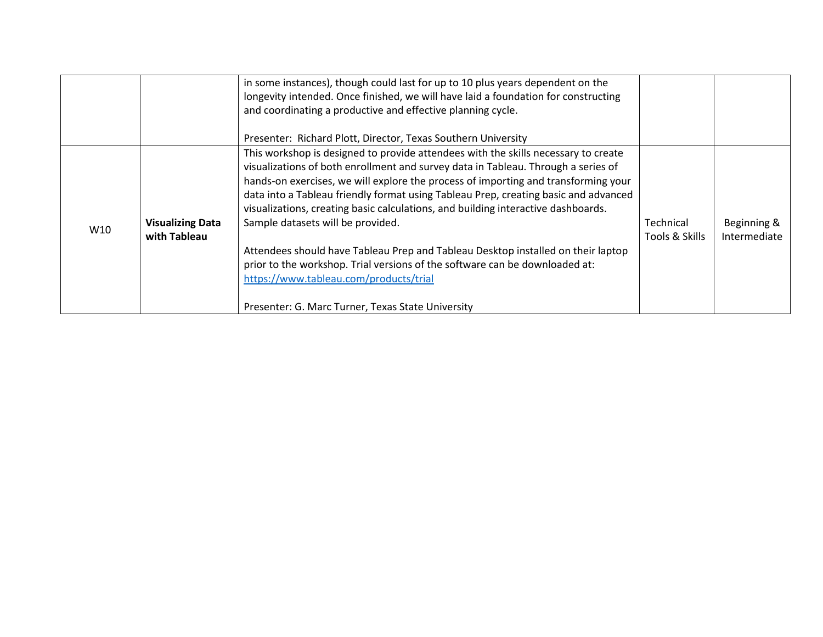|                 |                                         | in some instances), though could last for up to 10 plus years dependent on the<br>longevity intended. Once finished, we will have laid a foundation for constructing<br>and coordinating a productive and effective planning cycle.<br>Presenter: Richard Plott, Director, Texas Southern University                                                                                                                                                                                                                                                                                                                                                                                                                                             |                             |                             |
|-----------------|-----------------------------------------|--------------------------------------------------------------------------------------------------------------------------------------------------------------------------------------------------------------------------------------------------------------------------------------------------------------------------------------------------------------------------------------------------------------------------------------------------------------------------------------------------------------------------------------------------------------------------------------------------------------------------------------------------------------------------------------------------------------------------------------------------|-----------------------------|-----------------------------|
| W <sub>10</sub> | <b>Visualizing Data</b><br>with Tableau | This workshop is designed to provide attendees with the skills necessary to create<br>visualizations of both enrollment and survey data in Tableau. Through a series of<br>hands-on exercises, we will explore the process of importing and transforming your<br>data into a Tableau friendly format using Tableau Prep, creating basic and advanced<br>visualizations, creating basic calculations, and building interactive dashboards.<br>Sample datasets will be provided.<br>Attendees should have Tableau Prep and Tableau Desktop installed on their laptop<br>prior to the workshop. Trial versions of the software can be downloaded at:<br>https://www.tableau.com/products/trial<br>Presenter: G. Marc Turner, Texas State University | Technical<br>Tools & Skills | Beginning &<br>Intermediate |